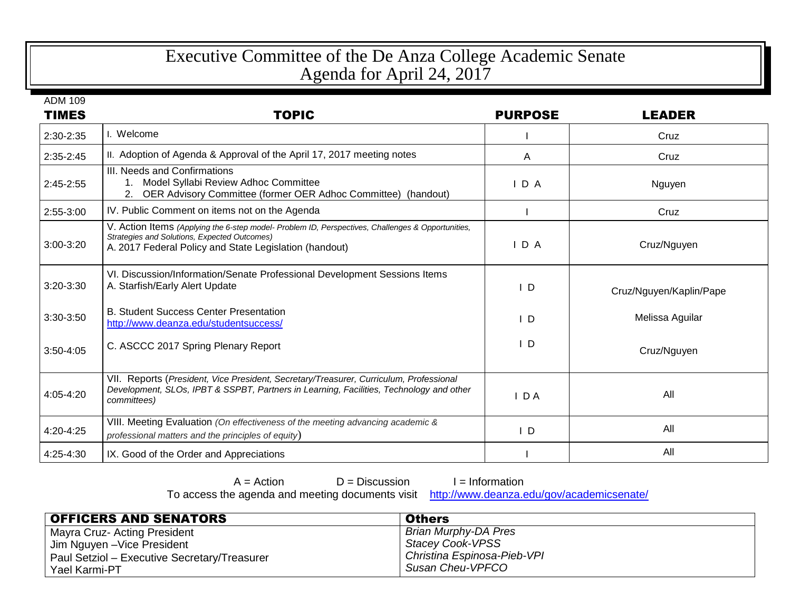## Executive Committee of the De Anza College Academic Senate Agenda for April 24, 2017

ADM 109

| <b>TIMES</b> | <b>TOPIC</b>                                                                                                                                                                                                | <b>PURPOSE</b> | <b>LEADER</b>           |
|--------------|-------------------------------------------------------------------------------------------------------------------------------------------------------------------------------------------------------------|----------------|-------------------------|
| 2:30-2:35    | I. Welcome                                                                                                                                                                                                  |                | Cruz                    |
| $2:35-2:45$  | II. Adoption of Agenda & Approval of the April 17, 2017 meeting notes                                                                                                                                       | A              | Cruz                    |
| $2:45-2:55$  | III. Needs and Confirmations<br>Model Syllabi Review Adhoc Committee<br>1.<br>OER Advisory Committee (former OER Adhoc Committee) (handout)                                                                 | IDA            | Nguyen                  |
| 2:55-3:00    | IV. Public Comment on items not on the Agenda                                                                                                                                                               |                | Cruz                    |
| 3:00-3:20    | V. Action Items (Applying the 6-step model- Problem ID, Perspectives, Challenges & Opportunities,<br>Strategies and Solutions, Expected Outcomes)<br>A. 2017 Federal Policy and State Legislation (handout) | $I$ D A        | Cruz/Nguyen             |
| 3:20-3:30    | VI. Discussion/Information/Senate Professional Development Sessions Items<br>A. Starfish/Early Alert Update                                                                                                 | ID             | Cruz/Nguyen/Kaplin/Pape |
| 3:30-3:50    | <b>B. Student Success Center Presentation</b><br>http://www.deanza.edu/studentsuccess/                                                                                                                      | $\mathsf{L}$   | Melissa Aguilar         |
| 3:50-4:05    | C. ASCCC 2017 Spring Plenary Report                                                                                                                                                                         | $\mathsf{L}$   | Cruz/Nguyen             |
| 4:05-4:20    | VII. Reports (President, Vice President, Secretary/Treasurer, Curriculum, Professional<br>Development, SLOs, IPBT & SSPBT, Partners in Learning, Facilities, Technology and other<br>committees)            | IDA            | All                     |
| 4:20-4:25    | VIII. Meeting Evaluation (On effectiveness of the meeting advancing academic &<br>professional matters and the principles of equity)                                                                        | $\overline{D}$ | All                     |
| 4:25-4:30    | IX. Good of the Order and Appreciations                                                                                                                                                                     |                | All                     |

 $A =$  Action  $D =$  Discussion  $I =$  Information<br>e agenda and meeting documents visit http://www.deanza.edu/gov/academicsenate/ To access the agenda and meeting documents visit

| <b>OFFICERS AND SENATORS</b>                 | <b>Others</b>               |
|----------------------------------------------|-----------------------------|
| Mayra Cruz- Acting President                 | Brian Murphy-DA Pres        |
| Jim Nguyen - Vice President                  | Stacey Cook-VPSS            |
| Paul Setziol – Executive Secretary/Treasurer | Christina Espinosa-Pieb-VPI |
| Yael Karmi-PT                                | Susan Cheu-VPFCO            |